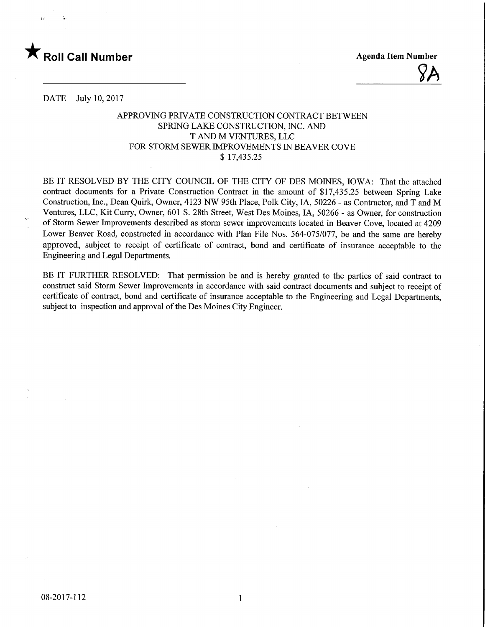

 $\gamma$ 

DATE July 10, 2017

## APPROVING PRIVATE CONSTRUCTION CONTRACT BETWEEN SPRING LAKE CONSTRUCTION, INC. AND T AND M VENTURES, LLC FOR STORM SEWER IMPROVEMENTS IN BEAVER COVE \$ 17,435.25

BE IT RESOLVED BY THE CITY COUNCIL OF THE CITY OF DES MOINES, IOWA: That the attached contract documents for a Private Construction Contract in the amount of \$17,435.25 between Spring Lake Construction, Inc., Dean Quirk, Owner, 4123 NW 95th Place, Polk City, IA, 50226 - as Contractor, and T and M Ventures, LLC, Kit Curry, Owner, 601 S. 28th Street, West Des Moines, IA, 50266 - as Owner, for construction of Storm Sewer Improvements described as storm sewer improvements located in Beaver Cove, located at 4209 Lower Beaver Road, constructed in accordance with Plan File Nos. 564-075/077, be and the same are hereby approved, subject to receipt of certificate of contract, bond and certificate of insurance acceptable to the Engineering and Legal Departments.

BE IT FURTHER RESOLVED: That permission be and is hereby granted to the parties of said contract to construct said Storm Sewer Improvements in accordance with said contract documents and subject to receipt of certificate of contract, bond and certificate of insurance acceptable to the Engineering and Legal Departments, subject to inspection and approval of the Des Moines City Engineer.

 $\mathbf{1}$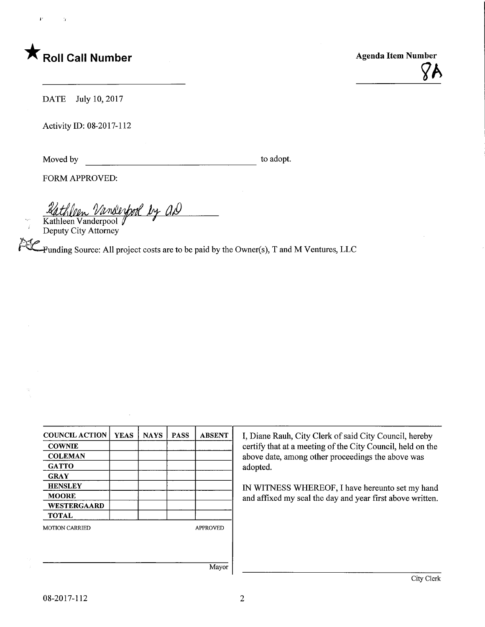

r j

?A

DATE July 10, 2017

Activity ID: 08-2017-112

Moved by to adopt.

FORM APPROVED:

<u>Rathleen Vandeybool by a.D</u>

Kathleen Vanderpool V Deputy City Attorney

Funding Source: All project costs are to be paid by the Owner(s), T and M Ventures, LLC

| <b>COUNCIL ACTION</b> | <b>YEAS</b> | <b>NAYS</b> | <b>PASS</b> | <b>ABSENT</b>   |
|-----------------------|-------------|-------------|-------------|-----------------|
| <b>COWNIE</b>         |             |             |             |                 |
| <b>COLEMAN</b>        |             |             |             |                 |
| <b>GATTO</b>          |             |             |             |                 |
| <b>GRAY</b>           |             |             |             |                 |
| <b>HENSLEY</b>        |             |             |             |                 |
| <b>MOORE</b>          |             |             |             |                 |
| <b>WESTERGAARD</b>    |             |             |             |                 |
| <b>TOTAL</b>          |             |             |             |                 |
| <b>MOTION CARRIED</b> |             |             |             | <b>APPROVED</b> |
|                       |             |             |             |                 |
|                       |             |             |             |                 |
|                       |             |             |             |                 |

I, Diane Rauh, City Clerk of said City Council, hereby certify that at a meeting of the City Council, held on the above date, among other proceedings the above was adopted.

IN WITNESS WHEREOF, I have hereunto set my hand and affixed my seal the day and year first above written.

Mayor